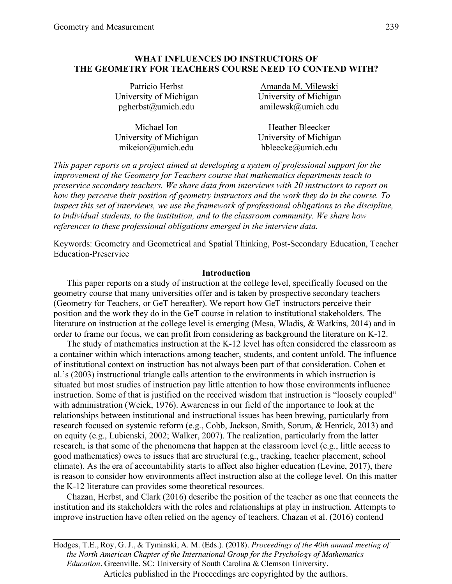### **WHAT INFLUENCES DO INSTRUCTORS OF THE GEOMETRY FOR TEACHERS COURSE NEED TO CONTEND WITH?**

| Patricio Herbst        | Amanda M. Milewski     |
|------------------------|------------------------|
| University of Michigan | University of Michigan |
| pgherbst@umich.edu     | $amilewsk@$ umich.edu  |
|                        |                        |

| Michael Ion            | <b>Heather Bleecker</b> |
|------------------------|-------------------------|
| University of Michigan | University of Michigan  |
| $mikeion@$ umich.edu   | hbleecke $@$ umich.edu  |

*This paper reports on a project aimed at developing a system of professional support for the improvement of the Geometry for Teachers course that mathematics departments teach to preservice secondary teachers. We share data from interviews with 20 instructors to report on how they perceive their position of geometry instructors and the work they do in the course. To inspect this set of interviews, we use the framework of professional obligations to the discipline, to individual students, to the institution, and to the classroom community. We share how references to these professional obligations emerged in the interview data.* 

Keywords: Geometry and Geometrical and Spatial Thinking, Post-Secondary Education, Teacher Education-Preservice

#### **Introduction**

This paper reports on a study of instruction at the college level, specifically focused on the geometry course that many universities offer and is taken by prospective secondary teachers (Geometry for Teachers, or GeT hereafter). We report how GeT instructors perceive their position and the work they do in the GeT course in relation to institutional stakeholders. The literature on instruction at the college level is emerging (Mesa, Wladis, & Watkins, 2014) and in order to frame our focus, we can profit from considering as background the literature on K-12.

The study of mathematics instruction at the K-12 level has often considered the classroom as a container within which interactions among teacher, students, and content unfold. The influence of institutional context on instruction has not always been part of that consideration. Cohen et al.'s (2003) instructional triangle calls attention to the environments in which instruction is situated but most studies of instruction pay little attention to how those environments influence instruction. Some of that is justified on the received wisdom that instruction is "loosely coupled" with administration (Weick, 1976). Awareness in our field of the importance to look at the relationships between institutional and instructional issues has been brewing, particularly from research focused on systemic reform (e.g., Cobb, Jackson, Smith, Sorum, & Henrick, 2013) and on equity (e.g., Lubienski, 2002; Walker, 2007). The realization, particularly from the latter research, is that some of the phenomena that happen at the classroom level (e.g., little access to good mathematics) owes to issues that are structural (e.g., tracking, teacher placement, school climate). As the era of accountability starts to affect also higher education (Levine, 2017), there is reason to consider how environments affect instruction also at the college level. On this matter the K-12 literature can provides some theoretical resources.

Chazan, Herbst, and Clark (2016) describe the position of the teacher as one that connects the institution and its stakeholders with the roles and relationships at play in instruction. Attempts to improve instruction have often relied on the agency of teachers. Chazan et al. (2016) contend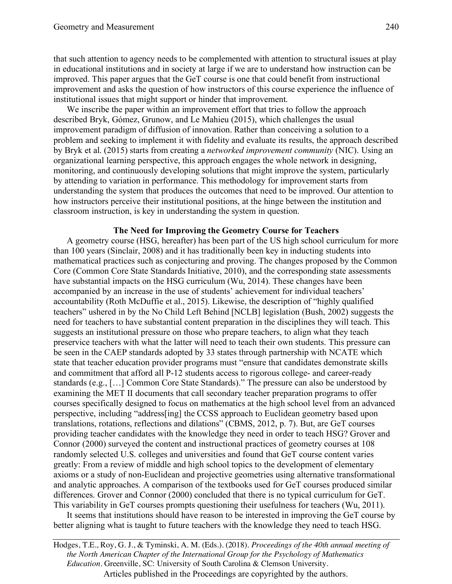that such attention to agency needs to be complemented with attention to structural issues at play in educational institutions and in society at large if we are to understand how instruction can be improved. This paper argues that the GeT course is one that could benefit from instructional improvement and asks the question of how instructors of this course experience the influence of institutional issues that might support or hinder that improvement.

We inscribe the paper within an improvement effort that tries to follow the approach described Bryk, Gómez, Grunow, and Le Mahieu (2015), which challenges the usual improvement paradigm of diffusion of innovation. Rather than conceiving a solution to a problem and seeking to implement it with fidelity and evaluate its results, the approach described by Bryk et al. (2015) starts from creating a *networked improvement community* (NIC). Using an organizational learning perspective, this approach engages the whole network in designing, monitoring, and continuously developing solutions that might improve the system, particularly by attending to variation in performance. This methodology for improvement starts from understanding the system that produces the outcomes that need to be improved. Our attention to how instructors perceive their institutional positions, at the hinge between the institution and classroom instruction, is key in understanding the system in question.

### **The Need for Improving the Geometry Course for Teachers**

A geometry course (HSG, hereafter) has been part of the US high school curriculum for more than 100 years (Sinclair, 2008) and it has traditionally been key in inducting students into mathematical practices such as conjecturing and proving. The changes proposed by the Common Core (Common Core State Standards Initiative, 2010), and the corresponding state assessments have substantial impacts on the HSG curriculum (Wu, 2014). These changes have been accompanied by an increase in the use of students' achievement for individual teachers' accountability (Roth McDuffie et al., 2015). Likewise, the description of "highly qualified teachers" ushered in by the No Child Left Behind [NCLB] legislation (Bush, 2002) suggests the need for teachers to have substantial content preparation in the disciplines they will teach. This suggests an institutional pressure on those who prepare teachers, to align what they teach preservice teachers with what the latter will need to teach their own students. This pressure can be seen in the CAEP standards adopted by 33 states through partnership with NCATE which state that teacher education provider programs must "ensure that candidates demonstrate skills and commitment that afford all P-12 students access to rigorous college- and career-ready standards (e.g., […] Common Core State Standards)." The pressure can also be understood by examining the MET II documents that call secondary teacher preparation programs to offer courses specifically designed to focus on mathematics at the high school level from an advanced perspective, including "address[ing] the CCSS approach to Euclidean geometry based upon translations, rotations, reflections and dilations" (CBMS, 2012, p. 7). But, are GeT courses providing teacher candidates with the knowledge they need in order to teach HSG? Grover and Connor (2000) surveyed the content and instructional practices of geometry courses at 108 randomly selected U.S. colleges and universities and found that GeT course content varies greatly: From a review of middle and high school topics to the development of elementary axioms or a study of non-Euclidean and projective geometries using alternative transformational and analytic approaches. A comparison of the textbooks used for GeT courses produced similar differences. Grover and Connor (2000) concluded that there is no typical curriculum for GeT. This variability in GeT courses prompts questioning their usefulness for teachers (Wu, 2011).

It seems that institutions should have reason to be interested in improving the GeT course by better aligning what is taught to future teachers with the knowledge they need to teach HSG.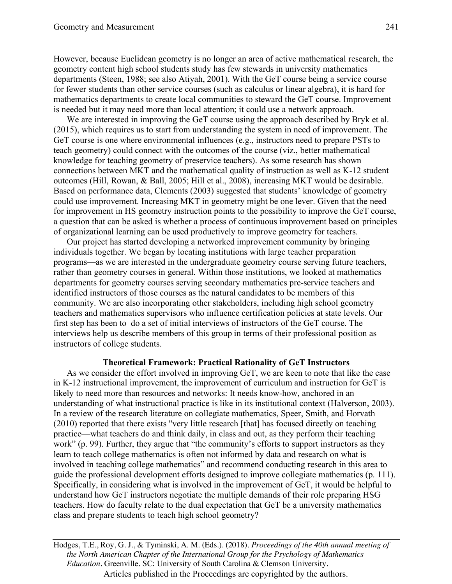However, because Euclidean geometry is no longer an area of active mathematical research, the geometry content high school students study has few stewards in university mathematics departments (Steen, 1988; see also Atiyah, 2001). With the GeT course being a service course for fewer students than other service courses (such as calculus or linear algebra), it is hard for mathematics departments to create local communities to steward the GeT course. Improvement is needed but it may need more than local attention; it could use a network approach.

We are interested in improving the GeT course using the approach described by Bryk et al. (2015), which requires us to start from understanding the system in need of improvement. The GeT course is one where environmental influences (e.g., instructors need to prepare PSTs to teach geometry) could connect with the outcomes of the course (viz., better mathematical knowledge for teaching geometry of preservice teachers). As some research has shown connections between MKT and the mathematical quality of instruction as well as K-12 student outcomes (Hill, Rowan, & Ball, 2005; Hill et al., 2008), increasing MKT would be desirable. Based on performance data, Clements (2003) suggested that students' knowledge of geometry could use improvement. Increasing MKT in geometry might be one lever. Given that the need for improvement in HS geometry instruction points to the possibility to improve the GeT course, a question that can be asked is whether a process of continuous improvement based on principles of organizational learning can be used productively to improve geometry for teachers.

Our project has started developing a networked improvement community by bringing individuals together. We began by locating institutions with large teacher preparation programs—as we are interested in the undergraduate geometry course serving future teachers, rather than geometry courses in general. Within those institutions, we looked at mathematics departments for geometry courses serving secondary mathematics pre-service teachers and identified instructors of those courses as the natural candidates to be members of this community. We are also incorporating other stakeholders, including high school geometry teachers and mathematics supervisors who influence certification policies at state levels. Our first step has been to do a set of initial interviews of instructors of the GeT course. The interviews help us describe members of this group in terms of their professional position as instructors of college students.

### **Theoretical Framework: Practical Rationality of GeT Instructors**

As we consider the effort involved in improving GeT, we are keen to note that like the case in K-12 instructional improvement, the improvement of curriculum and instruction for GeT is likely to need more than resources and networks: It needs know-how, anchored in an understanding of what instructional practice is like in its institutional context (Halverson, 2003). In a review of the research literature on collegiate mathematics, Speer, Smith, and Horvath (2010) reported that there exists "very little research [that] has focused directly on teaching practice—what teachers do and think daily, in class and out, as they perform their teaching work" (p. 99). Further, they argue that "the community's efforts to support instructors as they learn to teach college mathematics is often not informed by data and research on what is involved in teaching college mathematics" and recommend conducting research in this area to guide the professional development efforts designed to improve collegiate mathematics (p. 111). Specifically, in considering what is involved in the improvement of GeT, it would be helpful to understand how GeT instructors negotiate the multiple demands of their role preparing HSG teachers. How do faculty relate to the dual expectation that GeT be a university mathematics class and prepare students to teach high school geometry?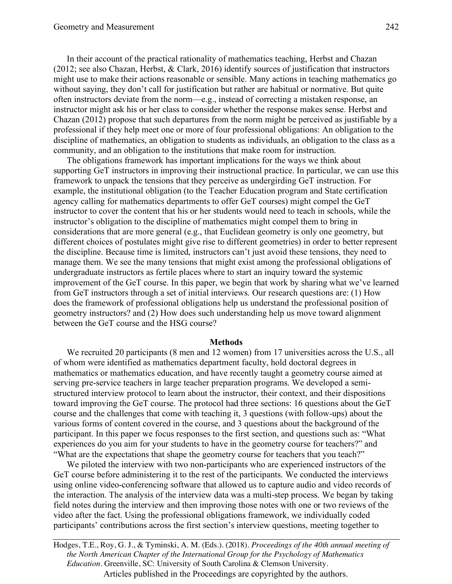In their account of the practical rationality of mathematics teaching, Herbst and Chazan (2012; see also Chazan, Herbst, & Clark, 2016) identify sources of justification that instructors might use to make their actions reasonable or sensible. Many actions in teaching mathematics go without saying, they don't call for justification but rather are habitual or normative. But quite often instructors deviate from the norm—e.g., instead of correcting a mistaken response, an instructor might ask his or her class to consider whether the response makes sense. Herbst and Chazan (2012) propose that such departures from the norm might be perceived as justifiable by a professional if they help meet one or more of four professional obligations: An obligation to the discipline of mathematics, an obligation to students as individuals, an obligation to the class as a community, and an obligation to the institutions that make room for instruction.

The obligations framework has important implications for the ways we think about supporting GeT instructors in improving their instructional practice. In particular, we can use this framework to unpack the tensions that they perceive as undergirding GeT instruction. For example, the institutional obligation (to the Teacher Education program and State certification agency calling for mathematics departments to offer GeT courses) might compel the GeT instructor to cover the content that his or her students would need to teach in schools, while the instructor's obligation to the discipline of mathematics might compel them to bring in considerations that are more general (e.g., that Euclidean geometry is only one geometry, but different choices of postulates might give rise to different geometries) in order to better represent the discipline. Because time is limited, instructors can't just avoid these tensions, they need to manage them. We see the many tensions that might exist among the professional obligations of undergraduate instructors as fertile places where to start an inquiry toward the systemic improvement of the GeT course. In this paper, we begin that work by sharing what we've learned from GeT instructors through a set of initial interviews. Our research questions are: (1) How does the framework of professional obligations help us understand the professional position of geometry instructors? and (2) How does such understanding help us move toward alignment between the GeT course and the HSG course?

#### **Methods**

We recruited 20 participants (8 men and 12 women) from 17 universities across the U.S., all of whom were identified as mathematics department faculty, hold doctoral degrees in mathematics or mathematics education, and have recently taught a geometry course aimed at serving pre-service teachers in large teacher preparation programs. We developed a semistructured interview protocol to learn about the instructor, their context, and their dispositions toward improving the GeT course. The protocol had three sections: 16 questions about the GeT course and the challenges that come with teaching it, 3 questions (with follow-ups) about the various forms of content covered in the course, and 3 questions about the background of the participant. In this paper we focus responses to the first section, and questions such as: "What experiences do you aim for your students to have in the geometry course for teachers?" and "What are the expectations that shape the geometry course for teachers that you teach?"

We piloted the interview with two non-participants who are experienced instructors of the GeT course before administering it to the rest of the participants. We conducted the interviews using online video-conferencing software that allowed us to capture audio and video records of the interaction. The analysis of the interview data was a multi-step process. We began by taking field notes during the interview and then improving those notes with one or two reviews of the video after the fact. Using the professional obligations framework, we individually coded participants' contributions across the first section's interview questions, meeting together to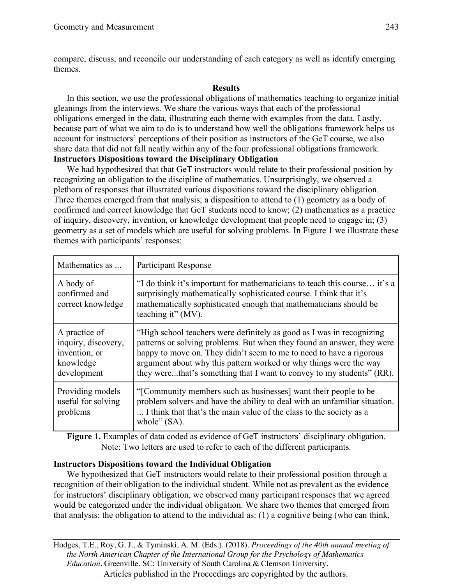compare, discuss, and reconcile our understanding of each category as well as identify emerging themes.

## **Results**

In this section, we use the professional obligations of mathematics teaching to organize initial gleanings from the interviews. We share the various ways that each of the professional obligations emerged in the data, illustrating each theme with examples from the data. Lastly, because part of what we aim to do is to understand how well the obligations framework helps us account for instructors' perceptions of their position as instructors of the GeT course, we also share data that did not fall neatly within any of the four professional obligations framework. **Instructors Dispositions toward the Disciplinary Obligation**

We had hypothesized that that GeT instructors would relate to their professional position by recognizing an obligation to the discipline of mathematics. Unsurprisingly, we observed a plethora of responses that illustrated various dispositions toward the disciplinary obligation. Three themes emerged from that analysis; a disposition to attend to (1) geometry as a body of confirmed and correct knowledge that GeT students need to know; (2) mathematics as a practice of inquiry, discovery, invention, or knowledge development that people need to engage in; (3) geometry as a set of models which are useful for solving problems. In Figure 1 we illustrate these themes with participants' responses:

| Mathematics as                                                                    | <b>Participant Response</b>                                                                                                                                                                                                                                                                                                                                          |
|-----------------------------------------------------------------------------------|----------------------------------------------------------------------------------------------------------------------------------------------------------------------------------------------------------------------------------------------------------------------------------------------------------------------------------------------------------------------|
| A body of<br>confirmed and<br>correct knowledge                                   | "I do think it's important for mathematicians to teach this course it's a<br>surprisingly mathematically sophisticated course. I think that it's<br>mathematically sophisticated enough that mathematicians should be<br>teaching it" (MV).                                                                                                                          |
| A practice of<br>inquiry, discovery,<br>invention, or<br>knowledge<br>development | "High school teachers were definitely as good as I was in recognizing<br>patterns or solving problems. But when they found an answer, they were<br>happy to move on. They didn't seem to me to need to have a rigorous<br>argument about why this pattern worked or why things were the way<br>they werethat's something that I want to convey to my students" (RR). |
| Providing models<br>useful for solving<br>problems                                | "[Community members such as businesses] want their people to be<br>problem solvers and have the ability to deal with an unfamiliar situation.<br>I think that that's the main value of the class to the society as a<br>whole" $(SA)$ .                                                                                                                              |

Figure 1. Examples of data coded as evidence of GeT instructors' disciplinary obligation. Note: Two letters are used to refer to each of the different participants.

## **Instructors Dispositions toward the Individual Obligation**

We hypothesized that GeT instructors would relate to their professional position through a recognition of their obligation to the individual student. While not as prevalent as the evidence for instructors' disciplinary obligation, we observed many participant responses that we agreed would be categorized under the individual obligation. We share two themes that emerged from that analysis: the obligation to attend to the individual as: (1) a cognitive being (who can think,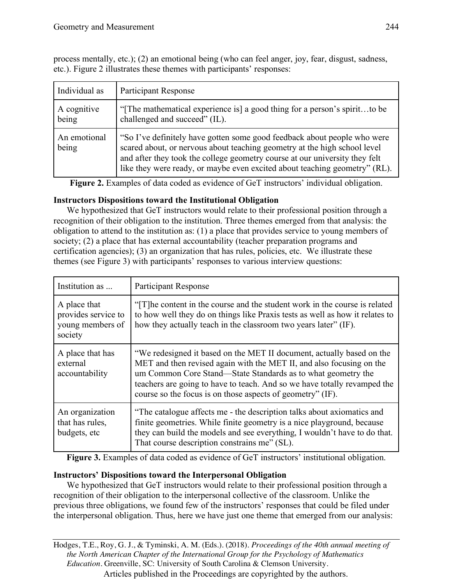process mentally, etc.); (2) an emotional being (who can feel anger, joy, fear, disgust, sadness, etc.). Figure 2 illustrates these themes with participants' responses:

| Individual as         | <b>Participant Response</b>                                                                                                                                                                                                                                                                                        |
|-----------------------|--------------------------------------------------------------------------------------------------------------------------------------------------------------------------------------------------------------------------------------------------------------------------------------------------------------------|
| A cognitive<br>being  | "The mathematical experience is] a good thing for a person's spiritto be<br>challenged and succeed" (IL).                                                                                                                                                                                                          |
| An emotional<br>being | "So I've definitely have gotten some good feedback about people who were<br>scared about, or nervous about teaching geometry at the high school level<br>and after they took the college geometry course at our university they felt<br>like they were ready, or maybe even excited about teaching geometry" (RL). |

**Figure 2.** Examples of data coded as evidence of GeT instructors' individual obligation.

# **Instructors Dispositions toward the Institutional Obligation**

We hypothesized that GeT instructors would relate to their professional position through a recognition of their obligation to the institution. Three themes emerged from that analysis: the obligation to attend to the institution as: (1) a place that provides service to young members of society; (2) a place that has external accountability (teacher preparation programs and certification agencies); (3) an organization that has rules, policies, etc. We illustrate these themes (see Figure 3) with participants' responses to various interview questions:

| Institution as                                                     | <b>Participant Response</b>                                                                                                                                                                                                                                                                                                                             |
|--------------------------------------------------------------------|---------------------------------------------------------------------------------------------------------------------------------------------------------------------------------------------------------------------------------------------------------------------------------------------------------------------------------------------------------|
| A place that<br>provides service to<br>young members of<br>society | "[T] he content in the course and the student work in the course is related<br>to how well they do on things like Praxis tests as well as how it relates to<br>how they actually teach in the classroom two years later" (IF).                                                                                                                          |
| A place that has<br>external<br>accountability                     | "We redesigned it based on the MET II document, actually based on the<br>MET and then revised again with the MET II, and also focusing on the<br>um Common Core Stand—State Standards as to what geometry the<br>teachers are going to have to teach. And so we have totally revamped the<br>course so the focus is on those aspects of geometry" (IF). |
| An organization<br>that has rules,<br>budgets, etc.                | "The catalogue affects me - the description talks about axiomatics and<br>finite geometries. While finite geometry is a nice playground, because<br>they can build the models and see everything, I wouldn't have to do that.<br>That course description constrains me" (SL).                                                                           |

**Figure 3.** Examples of data coded as evidence of GeT instructors' institutional obligation.

# **Instructors' Dispositions toward the Interpersonal Obligation**

We hypothesized that GeT instructors would relate to their professional position through a recognition of their obligation to the interpersonal collective of the classroom. Unlike the previous three obligations, we found few of the instructors' responses that could be filed under the interpersonal obligation. Thus, here we have just one theme that emerged from our analysis: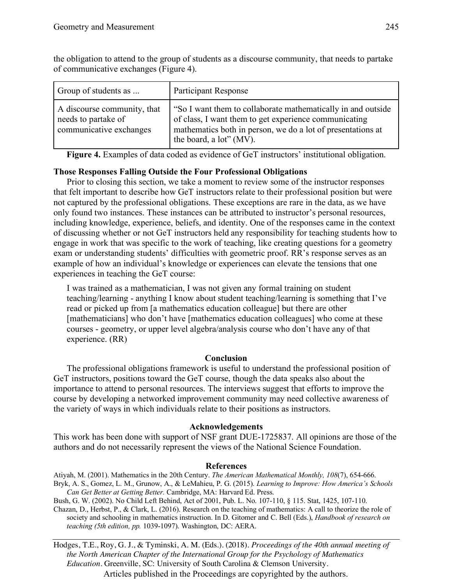| Group of students as                                                          | <b>Participant Response</b>                                                                                                                                                                                      |
|-------------------------------------------------------------------------------|------------------------------------------------------------------------------------------------------------------------------------------------------------------------------------------------------------------|
| A discourse community, that<br>needs to partake of<br>communicative exchanges | "So I want them to collaborate mathematically in and outside"<br>of class, I want them to get experience communicating<br>mathematics both in person, we do a lot of presentations at<br>the board, a lot" (MV). |

the obligation to attend to the group of students as a discourse community, that needs to partake of communicative exchanges (Figure 4).

**Figure 4.** Examples of data coded as evidence of GeT instructors' institutional obligation.

### **Those Responses Falling Outside the Four Professional Obligations**

Prior to closing this section, we take a moment to review some of the instructor responses that felt important to describe how GeT instructors relate to their professional position but were not captured by the professional obligations. These exceptions are rare in the data, as we have only found two instances. These instances can be attributed to instructor's personal resources, including knowledge, experience, beliefs, and identity. One of the responses came in the context of discussing whether or not GeT instructors held any responsibility for teaching students how to engage in work that was specific to the work of teaching, like creating questions for a geometry exam or understanding students' difficulties with geometric proof. RR's response serves as an example of how an individual's knowledge or experiences can elevate the tensions that one experiences in teaching the GeT course:

I was trained as a mathematician, I was not given any formal training on student teaching/learning - anything I know about student teaching/learning is something that I've read or picked up from [a mathematics education colleague] but there are other [mathematicians] who don't have [mathematics education colleagues] who come at these courses - geometry, or upper level algebra/analysis course who don't have any of that experience. (RR)

### **Conclusion**

The professional obligations framework is useful to understand the professional position of GeT instructors, positions toward the GeT course, though the data speaks also about the importance to attend to personal resources. The interviews suggest that efforts to improve the course by developing a networked improvement community may need collective awareness of the variety of ways in which individuals relate to their positions as instructors.

### **Acknowledgements**

This work has been done with support of NSF grant DUE-1725837. All opinions are those of the authors and do not necessarily represent the views of the National Science Foundation.

### **References**

Atiyah, M. (2001). Mathematics in the 20th Century. *The American Mathematical Monthly, 108*(7), 654-666. Bryk, A. S., Gomez, L. M., Grunow, A., & LeMahieu, P. G. (2015). *Learning to Improve: How America's Schools Can Get Better at Getting Better.* Cambridge, MA: Harvard Ed. Press.

Bush, G. W. (2002). No Child Left Behind, Act of 2001, Pub. L. No. 107-110, § 115. Stat, 1425, 107-110.

Chazan, D., Herbst, P., & Clark, L. (2016). Research on the teaching of mathematics: A call to theorize the role of society and schooling in mathematics instruction. In D. Gitomer and C. Bell (Eds.), *Handbook of research on teaching (5th edition, pp.* 1039-1097). Washington, DC: AERA.